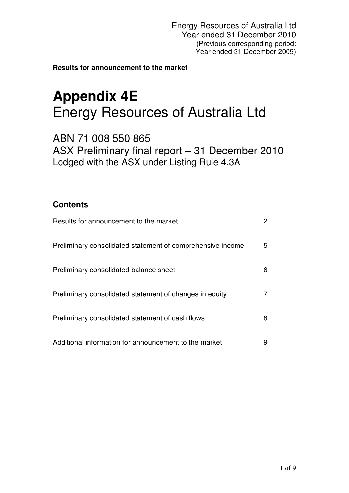**Results for announcement to the market**

# **Appendix 4E**  Energy Resources of Australia Ltd

ABN 71 008 550 865 ASX Preliminary final report – 31 December 2010 Lodged with the ASX under Listing Rule 4.3A

## **Contents**

| Results for announcement to the market                     | $\mathbf{2}^{\mathsf{I}}$ |
|------------------------------------------------------------|---------------------------|
| Preliminary consolidated statement of comprehensive income | 5                         |
| Preliminary consolidated balance sheet                     | 6                         |
| Preliminary consolidated statement of changes in equity    | 7.                        |
| Preliminary consolidated statement of cash flows           | 8                         |
| Additional information for announcement to the market      | 9                         |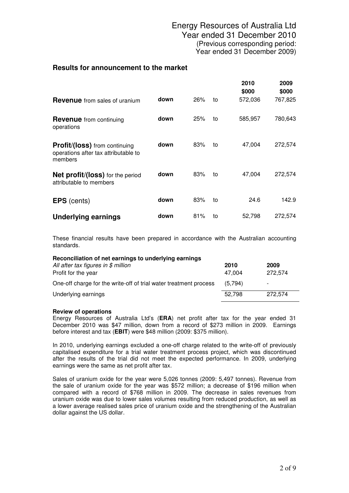#### **Results for announcement to the market**

|                                                                                         |      |     |    | 2010<br>\$000 | 2009<br>\$000 |
|-----------------------------------------------------------------------------------------|------|-----|----|---------------|---------------|
| <b>Revenue</b> from sales of uranium                                                    | down | 26% | to | 572,036       | 767,825       |
| <b>Revenue</b> from continuing<br>operations                                            | down | 25% | to | 585,957       | 780,643       |
| <b>Profit/(loss)</b> from continuing<br>operations after tax attributable to<br>members | down | 83% | to | 47,004        | 272,574       |
| Net profit/(loss) for the period<br>attributable to members                             | down | 83% | to | 47,004        | 272,574       |
| <b>EPS</b> (cents)                                                                      | down | 83% | to | 24.6          | 142.9         |
| <b>Underlying earnings</b>                                                              | down | 81% | to | 52,798        | 272,574       |

These financial results have been prepared in accordance with the Australian accounting standards.

| Reconciliation of net earnings to underlying earnings             |         |         |  |  |  |
|-------------------------------------------------------------------|---------|---------|--|--|--|
| All after tax figures in $$$ million                              | 2010    | 2009    |  |  |  |
| Profit for the year                                               | 47.004  | 272.574 |  |  |  |
| One-off charge for the write-off of trial water treatment process | (5.794) | -       |  |  |  |
| Underlying earnings                                               | 52.798  | 272.574 |  |  |  |

#### **Review of operations**

Energy Resources of Australia Ltd's (**ERA**) net profit after tax for the year ended 31 December 2010 was \$47 million, down from a record of \$273 million in 2009. Earnings before interest and tax (**EBIT**) were \$48 million (2009: \$375 million).

In 2010, underlying earnings excluded a one-off charge related to the write-off of previously capitalised expenditure for a trial water treatment process project, which was discontinued after the results of the trial did not meet the expected performance. In 2009, underlying earnings were the same as net profit after tax.

Sales of uranium oxide for the year were 5,026 tonnes (2009: 5,497 tonnes). Revenue from the sale of uranium oxide for the year was \$572 million; a decrease of \$196 million when compared with a record of \$768 million in 2009. The decrease in sales revenues from uranium oxide was due to lower sales volumes resulting from reduced production, as well as a lower average realised sales price of uranium oxide and the strengthening of the Australian dollar against the US dollar.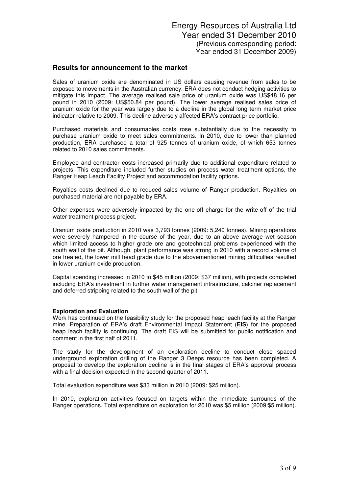#### **Results for announcement to the market**

Sales of uranium oxide are denominated in US dollars causing revenue from sales to be exposed to movements in the Australian currency. ERA does not conduct hedging activities to mitigate this impact. The average realised sale price of uranium oxide was US\$48.16 per pound in 2010 (2009: US\$50.84 per pound). The lower average realised sales price of uranium oxide for the year was largely due to a decline in the global long term market price indicator relative to 2009. This decline adversely affected ERA's contract price portfolio.

Purchased materials and consumables costs rose substantially due to the necessity to purchase uranium oxide to meet sales commitments. In 2010, due to lower than planned production, ERA purchased a total of 925 tonnes of uranium oxide, of which 653 tonnes related to 2010 sales commitments.

Employee and contractor costs increased primarily due to additional expenditure related to projects. This expenditure included further studies on process water treatment options, the Ranger Heap Leach Facility Project and accommodation facility options.

Royalties costs declined due to reduced sales volume of Ranger production. Royalties on purchased material are not payable by ERA.

Other expenses were adversely impacted by the one-off charge for the write-off of the trial water treatment process project.

Uranium oxide production in 2010 was 3,793 tonnes (2009: 5,240 tonnes). Mining operations were severely hampered in the course of the year, due to an above average wet season which limited access to higher grade ore and geotechnical problems experienced with the south wall of the pit. Although, plant performance was strong in 2010 with a record volume of ore treated, the lower mill head grade due to the abovementioned mining difficulties resulted in lower uranium oxide production.

Capital spending increased in 2010 to \$45 million (2009: \$37 million), with projects completed including ERA's investment in further water management infrastructure, calciner replacement and deferred stripping related to the south wall of the pit.

#### **Exploration and Evaluation**

Work has continued on the feasibility study for the proposed heap leach facility at the Ranger mine. Preparation of ERA's draft Environmental Impact Statement (**EIS**) for the proposed heap leach facility is continuing. The draft EIS will be submitted for public notification and comment in the first half of 2011.

The study for the development of an exploration decline to conduct close spaced underground exploration drilling of the Ranger 3 Deeps resource has been completed. A proposal to develop the exploration decline is in the final stages of ERA's approval process with a final decision expected in the second quarter of 2011.

Total evaluation expenditure was \$33 million in 2010 (2009: \$25 million).

In 2010, exploration activities focused on targets within the immediate surrounds of the Ranger operations. Total expenditure on exploration for 2010 was \$5 million (2009:\$5 million).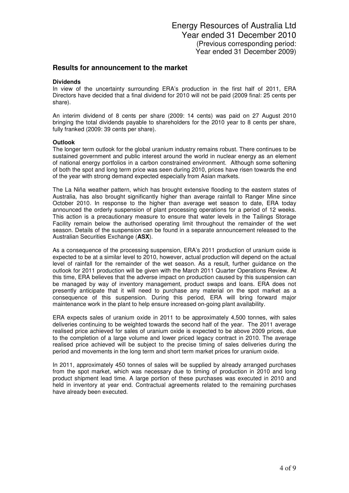#### **Results for announcement to the market**

#### **Dividends**

In view of the uncertainty surrounding ERA's production in the first half of 2011, ERA Directors have decided that a final dividend for 2010 will not be paid (2009 final: 25 cents per share).

An interim dividend of 8 cents per share (2009: 14 cents) was paid on 27 August 2010 bringing the total dividends payable to shareholders for the 2010 year to 8 cents per share, fully franked (2009: 39 cents per share).

#### **Outlook**

The longer term outlook for the global uranium industry remains robust. There continues to be sustained government and public interest around the world in nuclear energy as an element of national energy portfolios in a carbon constrained environment. Although some softening of both the spot and long term price was seen during 2010, prices have risen towards the end of the year with strong demand expected especially from Asian markets.

The La Niña weather pattern, which has brought extensive flooding to the eastern states of Australia, has also brought significantly higher than average rainfall to Ranger Mine since October 2010. In response to the higher than average wet season to date, ERA today announced the orderly suspension of plant processing operations for a period of 12 weeks. This action is a precautionary measure to ensure that water levels in the Tailings Storage Facility remain below the authorised operating limit throughout the remainder of the wet season. Details of the suspension can be found in a separate announcement released to the Australian Securities Exchange (**ASX**).

As a consequence of the processing suspension, ERA's 2011 production of uranium oxide is expected to be at a similar level to 2010, however, actual production will depend on the actual level of rainfall for the remainder of the wet season. As a result, further guidance on the outlook for 2011 production will be given with the March 2011 Quarter Operations Review. At this time, ERA believes that the adverse impact on production caused by this suspension can be managed by way of inventory management, product swaps and loans. ERA does not presently anticipate that it will need to purchase any material on the spot market as a consequence of this suspension. During this period, ERA will bring forward major maintenance work in the plant to help ensure increased on-going plant availability.

ERA expects sales of uranium oxide in 2011 to be approximately 4,500 tonnes, with sales deliveries continuing to be weighted towards the second half of the year. The 2011 average realised price achieved for sales of uranium oxide is expected to be above 2009 prices, due to the completion of a large volume and lower priced legacy contract in 2010. The average realised price achieved will be subject to the precise timing of sales deliveries during the period and movements in the long term and short term market prices for uranium oxide.

In 2011, approximately 450 tonnes of sales will be supplied by already arranged purchases from the spot market, which was necessary due to timing of production in 2010 and long product shipment lead time. A large portion of these purchases was executed in 2010 and held in inventory at year end. Contractual agreements related to the remaining purchases have already been executed.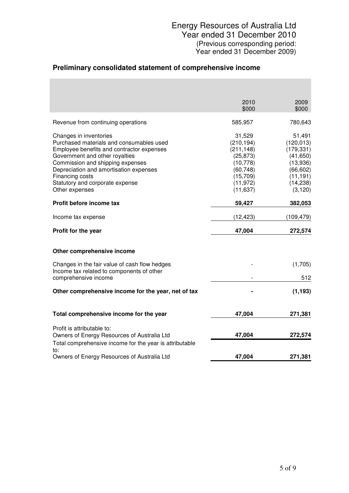## **Preliminary consolidated statement of comprehensive income**

|                                                                                                                                                                                                                                                                                                         | 2010<br>\$000                                                                                                   | 2009<br>\$000                                                                                                  |
|---------------------------------------------------------------------------------------------------------------------------------------------------------------------------------------------------------------------------------------------------------------------------------------------------------|-----------------------------------------------------------------------------------------------------------------|----------------------------------------------------------------------------------------------------------------|
| Revenue from continuing operations                                                                                                                                                                                                                                                                      | 585,957                                                                                                         | 780,643                                                                                                        |
| Changes in inventories<br>Purchased materials and consumables used<br>Employee benefits and contractor expenses<br>Government and other royalties<br>Commission and shipping expenses<br>Depreciation and amortisation expenses<br>Financing costs<br>Statutory and corporate expense<br>Other expenses | 31,529<br>(210, 194)<br>(211, 148)<br>(25, 873)<br>(10, 778)<br>(60, 748)<br>(15,709)<br>(11, 972)<br>(11, 637) | 51,491<br>(120, 013)<br>(179, 331)<br>(41, 650)<br>(13,936)<br>(66, 602)<br>(11, 191)<br>(14, 238)<br>(3, 120) |
| Profit before income tax                                                                                                                                                                                                                                                                                | 59,427                                                                                                          | 382,053                                                                                                        |
| Income tax expense                                                                                                                                                                                                                                                                                      | (12, 423)                                                                                                       | (109, 479)                                                                                                     |
| Profit for the year                                                                                                                                                                                                                                                                                     | 47,004                                                                                                          | 272,574                                                                                                        |
| Other comprehensive income                                                                                                                                                                                                                                                                              |                                                                                                                 |                                                                                                                |
| Changes in the fair value of cash flow hedges                                                                                                                                                                                                                                                           |                                                                                                                 | (1,705)                                                                                                        |
| Income tax related to components of other<br>comprehensive income                                                                                                                                                                                                                                       |                                                                                                                 | 512                                                                                                            |
| Other comprehensive income for the year, net of tax                                                                                                                                                                                                                                                     |                                                                                                                 | (1, 193)                                                                                                       |
| Total comprehensive income for the year                                                                                                                                                                                                                                                                 | 47,004                                                                                                          | 271,381                                                                                                        |
| Profit is attributable to:<br>Owners of Energy Resources of Australia Ltd                                                                                                                                                                                                                               | 47,004                                                                                                          | 272,574                                                                                                        |
| Total comprehensive income for the year is attributable<br>to:                                                                                                                                                                                                                                          |                                                                                                                 |                                                                                                                |
| Owners of Energy Resources of Australia Ltd                                                                                                                                                                                                                                                             | 47,004                                                                                                          | 271,381                                                                                                        |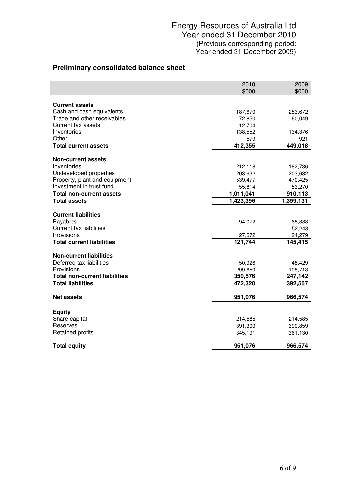## **Preliminary consolidated balance sheet**

|                                                                                                                            | 2010<br>\$000               | 2009<br>\$000                         |
|----------------------------------------------------------------------------------------------------------------------------|-----------------------------|---------------------------------------|
| <b>Current assets</b>                                                                                                      |                             |                                       |
| Cash and cash equivalents                                                                                                  | 187,670                     | 253,672                               |
| Trade and other receivables                                                                                                | 72,850                      | 60,049                                |
| <b>Current tax assets</b>                                                                                                  | 12,704                      |                                       |
| Inventories                                                                                                                | 138,552                     | 134,376                               |
| Other                                                                                                                      | 579                         | 921                                   |
| <b>Total current assets</b>                                                                                                | 412,355                     | 449,018                               |
| Non-current assets                                                                                                         |                             |                                       |
| Inventories                                                                                                                | 212,118                     | 182,786                               |
| Undeveloped properties                                                                                                     | 203,632                     | 203,632                               |
| Property, plant and equipment                                                                                              | 539,477                     | 470,425                               |
| Investment in trust fund                                                                                                   | 55,814                      | 53,270                                |
| <b>Total non-current assets</b>                                                                                            | 1,011,041                   | 910,113                               |
| <b>Total assets</b>                                                                                                        | 1,423,396                   | 1,359,131                             |
| <b>Current liabilities</b><br>Payables<br><b>Current tax liabilities</b><br>Provisions<br><b>Total current liabilities</b> | 94,072<br>27,672<br>121,744 | 68,888<br>52,248<br>24,279<br>145,415 |
| <b>Non-current liabilities</b>                                                                                             |                             |                                       |
| Deferred tax liabilities                                                                                                   | 50,926                      | 48,429                                |
| Provisions                                                                                                                 | 299,650                     | 198,713                               |
| <b>Total non-current liabilities</b>                                                                                       | 350,576                     | 247,142                               |
| <b>Total liabilities</b>                                                                                                   | 472,320                     | 392,557                               |
|                                                                                                                            |                             |                                       |
| <b>Net assets</b>                                                                                                          | 951,076                     | 966,574                               |
| <b>Equity</b><br>Share capital                                                                                             | 214,585                     | 214,585                               |
| Reserves                                                                                                                   | 391,300                     | 390,859                               |
| Retained profits                                                                                                           | 345,191                     | 361,130                               |
| <b>Total equity</b>                                                                                                        | 951,076                     | 966,574                               |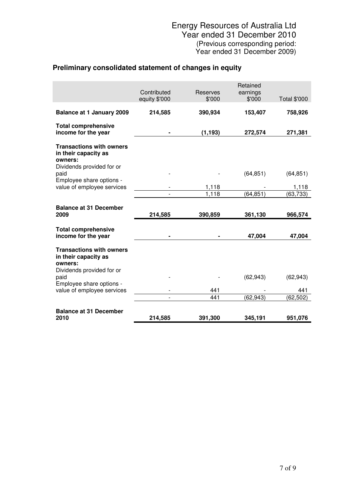## **Preliminary consolidated statement of changes in equity**

|                                                                                                 | Contributed<br>equity \$'000 | <b>Reserves</b><br>\$'000 | Retained<br>earnings<br>\$'000 | Total \$'000 |
|-------------------------------------------------------------------------------------------------|------------------------------|---------------------------|--------------------------------|--------------|
| <b>Balance at 1 January 2009</b>                                                                | 214,585                      | 390,934                   | 153,407                        | 758,926      |
| <b>Total comprehensive</b><br>income for the year                                               |                              | (1, 193)                  | 272,574                        | 271,381      |
| <b>Transactions with owners</b><br>in their capacity as<br>owners:                              |                              |                           |                                |              |
| Dividends provided for or<br>paid                                                               |                              |                           | (64, 851)                      | (64, 851)    |
| Employee share options -<br>value of employee services                                          |                              | 1,118                     |                                | 1,118        |
|                                                                                                 |                              | 1,118                     | (64, 851)                      | (63, 733)    |
| <b>Balance at 31 December</b>                                                                   |                              |                           |                                |              |
| 2009                                                                                            | 214,585                      | 390,859                   | 361,130                        | 966,574      |
| <b>Total comprehensive</b><br>income for the year                                               |                              |                           | 47,004                         | 47,004       |
| <b>Transactions with owners</b><br>in their capacity as<br>owners:<br>Dividends provided for or |                              |                           |                                |              |
| paid<br>Employee share options -                                                                |                              |                           | (62, 943)                      | (62, 943)    |
| value of employee services                                                                      |                              | 441                       |                                | 441          |
|                                                                                                 |                              | 441                       | (62, 943)                      | (62, 502)    |
| <b>Balance at 31 December</b>                                                                   |                              |                           |                                |              |
| 2010                                                                                            | 214,585                      | 391,300                   | 345,191                        | 951,076      |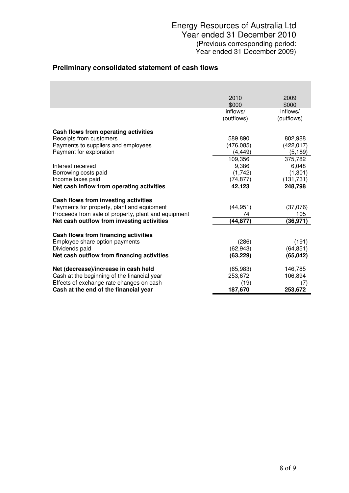## **Preliminary consolidated statement of cash flows**

|                                                     | 2010       | 2009       |
|-----------------------------------------------------|------------|------------|
|                                                     | \$000      | \$000      |
|                                                     | inflows/   | inflows/   |
|                                                     | (outflows) | (outflows) |
| Cash flows from operating activities                |            |            |
| Receipts from customers                             | 589,890    | 802,988    |
| Payments to suppliers and employees                 | (476, 085) | (422,017)  |
| Payment for exploration                             | (4, 449)   | (5, 189)   |
|                                                     | 109,356    | 375,782    |
| Interest received                                   | 9,386      | 6,048      |
| Borrowing costs paid                                | (1,742)    | (1,301)    |
| Income taxes paid                                   | (74, 877)  | (131, 731) |
| Net cash inflow from operating activities           | 42,123     | 248,798    |
|                                                     |            |            |
| Cash flows from investing activities                |            |            |
| Payments for property, plant and equipment          | (44, 951)  | (37,076)   |
| Proceeds from sale of property, plant and equipment | 74         | 105        |
| Net cash outflow from investing activities          | (44, 877)  | (36, 971)  |
| Cash flows from financing activities                |            |            |
| Employee share option payments                      | (286)      | (191)      |
| Dividends paid                                      | (62, 943)  | (64,851)   |
| Net cash outflow from financing activities          | (63, 229)  | (65,042)   |
|                                                     |            |            |
| Net (decrease)/increase in cash held                | (65, 983)  | 146,785    |
| Cash at the beginning of the financial year         | 253,672    | 106,894    |
| Effects of exchange rate changes on cash            | (19)       | 7          |
| Cash at the end of the financial year               | 187,670    | 253,672    |